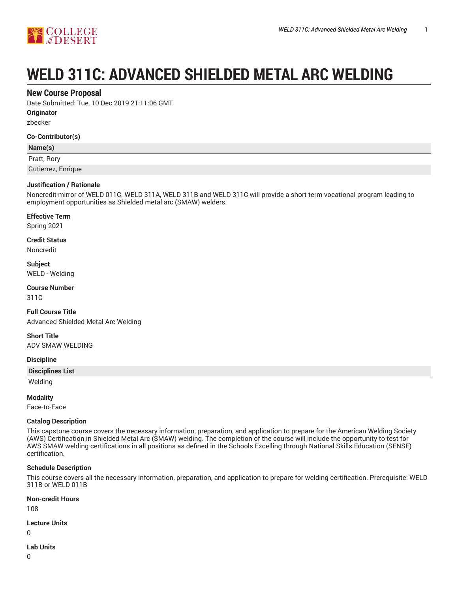

# **WELD 311C: ADVANCED SHIELDED METAL ARC WELDING**

# **New Course Proposal**

Date Submitted: Tue, 10 Dec 2019 21:11:06 GMT

**Originator**

zbecker

#### **Co-Contributor(s)**

#### **Name(s)**

Pratt, Rory

Gutierrez, Enrique

#### **Justification / Rationale**

Noncredit mirror of WELD 011C. WELD 311A, WELD 311B and WELD 311C will provide a short term vocational program leading to employment opportunities as Shielded metal arc (SMAW) welders.

#### **Effective Term**

Spring 2021

**Credit Status**

Noncredit

**Subject** WELD - Welding

**Course Number** 311C

**Full Course Title** Advanced Shielded Metal Arc Welding

**Short Title** ADV SMAW WELDING

#### **Discipline**

#### **Disciplines List**

Welding

#### **Modality**

Face-to-Face

#### **Catalog Description**

This capstone course covers the necessary information, preparation, and application to prepare for the American Welding Society (AWS) Certification in Shielded Metal Arc (SMAW) welding. The completion of the course will include the opportunity to test for AWS SMAW welding certifications in all positions as defined in the Schools Excelling through National Skills Education (SENSE) certification.

#### **Schedule Description**

This course covers all the necessary information, preparation, and application to prepare for welding certification. Prerequisite: WELD 311B or WELD 011B

**Non-credit Hours**

108

**Lecture Units**

0

# **Lab Units**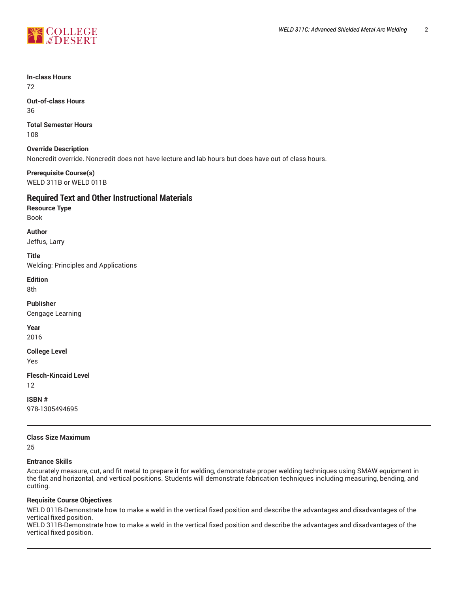



**In-class Hours** 72

**Out-of-class Hours** 36

**Total Semester Hours** 108

**Override Description** Noncredit override. Noncredit does not have lecture and lab hours but does have out of class hours.

**Prerequisite Course(s)** WELD 311B or WELD 011B

# **Required Text and Other Instructional Materials**

**Resource Type** Book

**Author** Jeffus, Larry

**Title** Welding: Principles and Applications

**Edition** 8th

**Publisher** Cengage Learning

**Year** 2016

**College Level**

Yes

**Flesch-Kincaid Level**

12

**ISBN #** 978-1305494695

# **Class Size Maximum**

25

## **Entrance Skills**

Accurately measure, cut, and fit metal to prepare it for welding, demonstrate proper welding techniques using SMAW equipment in the flat and horizontal, and vertical positions. Students will demonstrate fabrication techniques including measuring, bending, and cutting.

## **Requisite Course Objectives**

WELD 011B-Demonstrate how to make a weld in the vertical fixed position and describe the advantages and disadvantages of the vertical fixed position.

WELD 311B-Demonstrate how to make a weld in the vertical fixed position and describe the advantages and disadvantages of the vertical fixed position.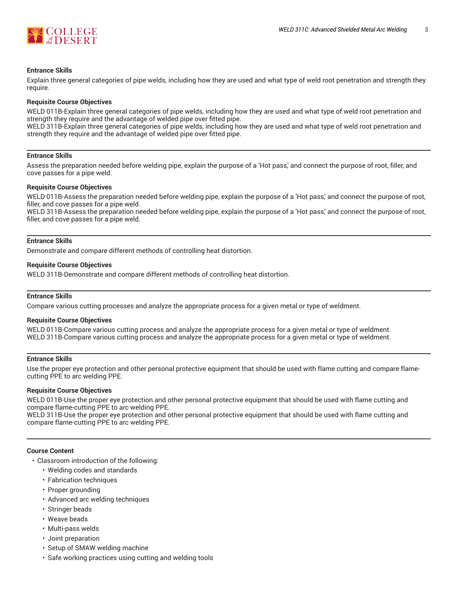

#### **Entrance Skills**

Explain three general categories of pipe welds, including how they are used and what type of weld root penetration and strength they require.

#### **Requisite Course Objectives**

WELD 011B-Explain three general categories of pipe welds, including how they are used and what type of weld root penetration and strength they require and the advantage of welded pipe over fitted pipe.

WELD 311B-Explain three general categories of pipe welds, including how they are used and what type of weld root penetration and strength they require and the advantage of welded pipe over fitted pipe.

#### **Entrance Skills**

Assess the preparation needed before welding pipe, explain the purpose of a 'Hot pass,' and connect the purpose of root, filler, and cove passes for a pipe weld.

#### **Requisite Course Objectives**

WELD 011B-Assess the preparation needed before welding pipe, explain the purpose of a 'Hot pass,' and connect the purpose of root, filler, and cove passes for a pipe weld.

WELD 311B-Assess the preparation needed before welding pipe, explain the purpose of a 'Hot pass,' and connect the purpose of root, filler, and cove passes for a pipe weld.

#### **Entrance Skills**

Demonstrate and compare different methods of controlling heat distortion.

#### **Requisite Course Objectives**

WELD 311B-Demonstrate and compare different methods of controlling heat distortion.

#### **Entrance Skills**

Compare various cutting processes and analyze the appropriate process for a given metal or type of weldment.

#### **Requisite Course Objectives**

WELD 011B-Compare various cutting process and analyze the appropriate process for a given metal or type of weldment. WELD 311B-Compare various cutting process and analyze the appropriate process for a given metal or type of weldment.

#### **Entrance Skills**

Use the proper eye protection and other personal protective equipment that should be used with flame cutting and compare flamecutting PPE to arc welding PPE.

#### **Requisite Course Objectives**

WELD 011B-Use the proper eye protection and other personal protective equipment that should be used with flame cutting and compare flame-cutting PPE to arc welding PPE.

WELD 311B-Use the proper eye protection and other personal protective equipment that should be used with flame cutting and compare flame-cutting PPE to arc welding PPE.

#### **Course Content**

- Classroom introduction of the following:
	- Welding codes and standards
	- Fabrication techniques
	- Proper grounding
	- Advanced arc welding techniques
	- Stringer beads
	- Weave beads
	- Multi-pass welds
	- Joint preparation
	- Setup of SMAW welding machine
	- Safe working practices using cutting and welding tools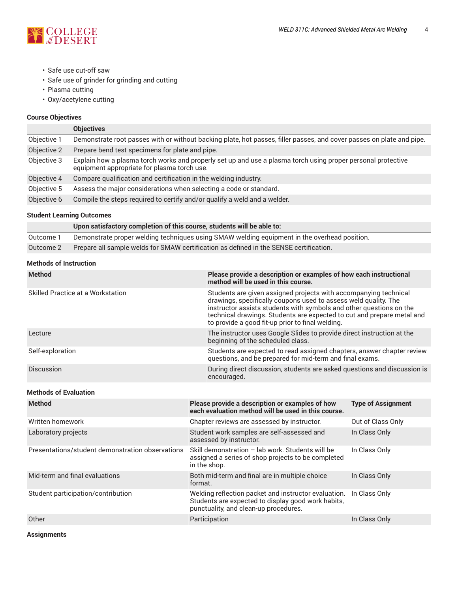

- Safe use cut-off saw
- Safe use of grinder for grinding and cutting
- Plasma cutting
- Oxy/acetylene cutting

# **Course Objectives**

|             | <b>Objectives</b>                                                                                                                                           |
|-------------|-------------------------------------------------------------------------------------------------------------------------------------------------------------|
| Objective 1 | Demonstrate root passes with or without backing plate, hot passes, filler passes, and cover passes on plate and pipe.                                       |
| Objective 2 | Prepare bend test specimens for plate and pipe.                                                                                                             |
| Objective 3 | Explain how a plasma torch works and properly set up and use a plasma torch using proper personal protective<br>equipment appropriate for plasma torch use. |
| Objective 4 | Compare qualification and certification in the welding industry.                                                                                            |
| Objective 5 | Assess the major considerations when selecting a code or standard.                                                                                          |
| Objective 6 | Compile the steps required to certify and/or qualify a weld and a welder.                                                                                   |
|             |                                                                                                                                                             |

#### **Student Learning Outcomes**

|           | Upon satisfactory completion of this course, students will be able to:                       |
|-----------|----------------------------------------------------------------------------------------------|
| Outcome 1 | Demonstrate proper welding techniques using SMAW welding equipment in the overhead position. |
| Outcome 2 | Prepare all sample welds for SMAW certification as defined in the SENSE certification.       |

# **Methods of Instruction**

| <b>Method</b>                     | Please provide a description or examples of how each instructional<br>method will be used in this course.                                                                                                                                                                                                                                |
|-----------------------------------|------------------------------------------------------------------------------------------------------------------------------------------------------------------------------------------------------------------------------------------------------------------------------------------------------------------------------------------|
| Skilled Practice at a Workstation | Students are given assigned projects with accompanying technical<br>drawings, specifically coupons used to assess weld quality. The<br>instructor assists students with symbols and other questions on the<br>technical drawings. Students are expected to cut and prepare metal and<br>to provide a good fit-up prior to final welding. |
| Lecture                           | The instructor uses Google Slides to provide direct instruction at the<br>beginning of the scheduled class.                                                                                                                                                                                                                              |
| Self-exploration                  | Students are expected to read assigned chapters, answer chapter review<br>questions, and be prepared for mid-term and final exams.                                                                                                                                                                                                       |
| Discussion                        | During direct discussion, students are asked questions and discussion is<br>encouraged.                                                                                                                                                                                                                                                  |

# **Methods of Evaluation**

| <b>Method</b>                                    | Please provide a description or examples of how<br>each evaluation method will be used in this course.                                              | <b>Type of Assignment</b> |
|--------------------------------------------------|-----------------------------------------------------------------------------------------------------------------------------------------------------|---------------------------|
| Written homework                                 | Chapter reviews are assessed by instructor.                                                                                                         | Out of Class Only         |
| Laboratory projects                              | Student work samples are self-assessed and<br>assessed by instructor.                                                                               | In Class Only             |
| Presentations/student demonstration observations | Skill demonstration - lab work. Students will be<br>assigned a series of shop projects to be completed<br>in the shop.                              | In Class Only             |
| Mid-term and final evaluations                   | Both mid-term and final are in multiple choice<br>format.                                                                                           | In Class Only             |
| Student participation/contribution               | Welding reflection packet and instructor evaluation.<br>Students are expected to display good work habits,<br>punctuality, and clean-up procedures. | In Class Only             |
| Other                                            | Participation                                                                                                                                       | In Class Only             |

**Assignments**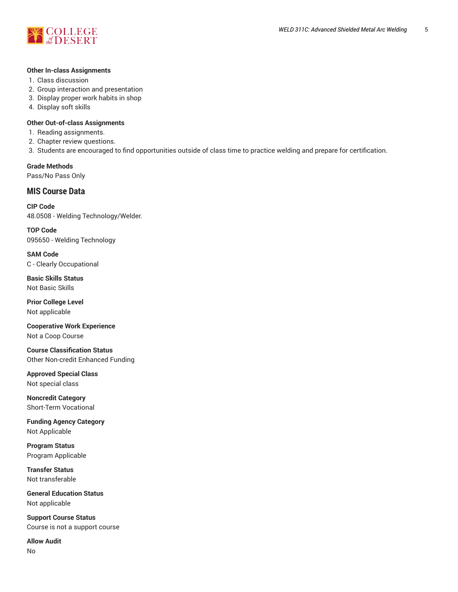

#### **Other In-class Assignments**

- 1. Class discussion
- 2. Group interaction and presentation
- 3. Display proper work habits in shop
- 4. Display soft skills

# **Other Out-of-class Assignments**

- 1. Reading assignments.
- 2. Chapter review questions.
- 3. Students are encouraged to find opportunities outside of class time to practice welding and prepare for certification.

**Grade Methods** Pass/No Pass Only

# **MIS Course Data**

**CIP Code** 48.0508 - Welding Technology/Welder.

**TOP Code** 095650 - Welding Technology

**SAM Code** C - Clearly Occupational

**Basic Skills Status** Not Basic Skills

**Prior College Level** Not applicable

**Cooperative Work Experience** Not a Coop Course

**Course Classification Status** Other Non-credit Enhanced Funding

**Approved Special Class** Not special class

**Noncredit Category** Short-Term Vocational

**Funding Agency Category** Not Applicable

**Program Status** Program Applicable

**Transfer Status** Not transferable

**General Education Status** Not applicable

**Support Course Status** Course is not a support course

**Allow Audit** No